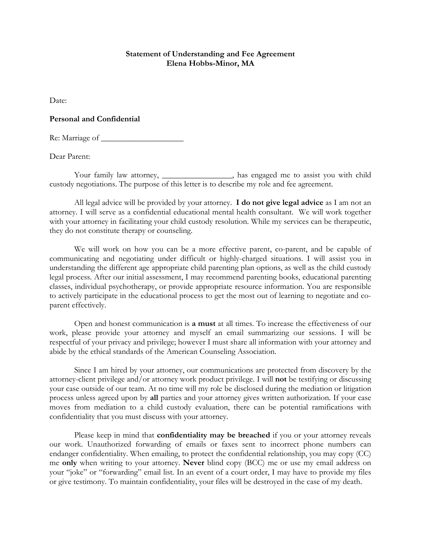## **Statement of Understanding and Fee Agreement Elena Hobbs-Minor, MA**

Date:

## **Personal and Confidential**

Re: Marriage of \_\_\_\_\_\_\_\_\_\_\_\_\_\_\_\_\_\_\_\_

Dear Parent:

Your family law attorney, \_\_\_\_\_\_\_\_\_\_\_\_\_\_\_, has engaged me to assist you with child custody negotiations. The purpose of this letter is to describe my role and fee agreement.

All legal advice will be provided by your attorney. **I do not give legal advice** as I am not an attorney. I will serve as a confidential educational mental health consultant. We will work together with your attorney in facilitating your child custody resolution. While my services can be therapeutic, they do not constitute therapy or counseling.

We will work on how you can be a more effective parent, co-parent, and be capable of communicating and negotiating under difficult or highly-charged situations. I will assist you in understanding the different age appropriate child parenting plan options, as well as the child custody legal process. After our initial assessment, I may recommend parenting books, educational parenting classes, individual psychotherapy, or provide appropriate resource information. You are responsible to actively participate in the educational process to get the most out of learning to negotiate and coparent effectively.

Open and honest communication is **a must** at all times. To increase the effectiveness of our work, please provide your attorney and myself an email summarizing our sessions. I will be respectful of your privacy and privilege; however I must share all information with your attorney and abide by the ethical standards of the American Counseling Association.

Since I am hired by your attorney, our communications are protected from discovery by the attorney-client privilege and/or attorney work product privilege. I will **not** be testifying or discussing your case outside of our team. At no time will my role be disclosed during the mediation or litigation process unless agreed upon by **all** parties and your attorney gives written authorization. If your case moves from mediation to a child custody evaluation, there can be potential ramifications with confidentiality that you must discuss with your attorney.

Please keep in mind that **confidentiality may be breached** if you or your attorney reveals our work. Unauthorized forwarding of emails or faxes sent to incorrect phone numbers can endanger confidentiality. When emailing, to protect the confidential relationship, you may copy (CC) me **only** when writing to your attorney. **Never** blind copy (BCC) me or use my email address on your "joke" or "forwarding" email list. In an event of a court order, I may have to provide my files or give testimony. To maintain confidentiality, your files will be destroyed in the case of my death.